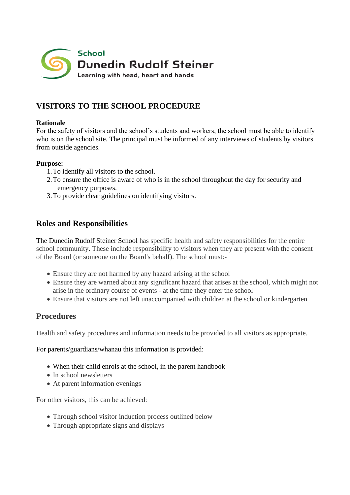

# **VISITORS TO THE SCHOOL PROCEDURE**

### **Rationale**

For the safety of visitors and the school's students and workers, the school must be able to identify who is on the school site. The principal must be informed of any interviews of students by visitors from outside agencies.

### **Purpose:**

- 1.To identify all visitors to the school.
- 2.To ensure the office is aware of who is in the school throughout the day for security and emergency purposes.
- 3.To provide clear guidelines on identifying visitors.

## **Roles and Responsibilities**

The Dunedin Rudolf Steiner School has specific health and safety responsibilities for the entire school community. These include responsibility to visitors when they are present with the consent of the Board (or someone on the Board's behalf). The school must:-

- Ensure they are not harmed by any hazard arising at the school
- Ensure they are warned about any significant hazard that arises at the school, which might not arise in the ordinary course of events - at the time they enter the school
- Ensure that visitors are not left unaccompanied with children at the school or kindergarten

# **Procedures**

Health and safety procedures and information needs to be provided to all visitors as appropriate.

For parents/guardians/whanau this information is provided:

- When their child enrols at the school, in the parent handbook
- In school newsletters
- At parent information evenings

For other visitors, this can be achieved:

- Through school visitor induction process outlined below
- Through appropriate signs and displays